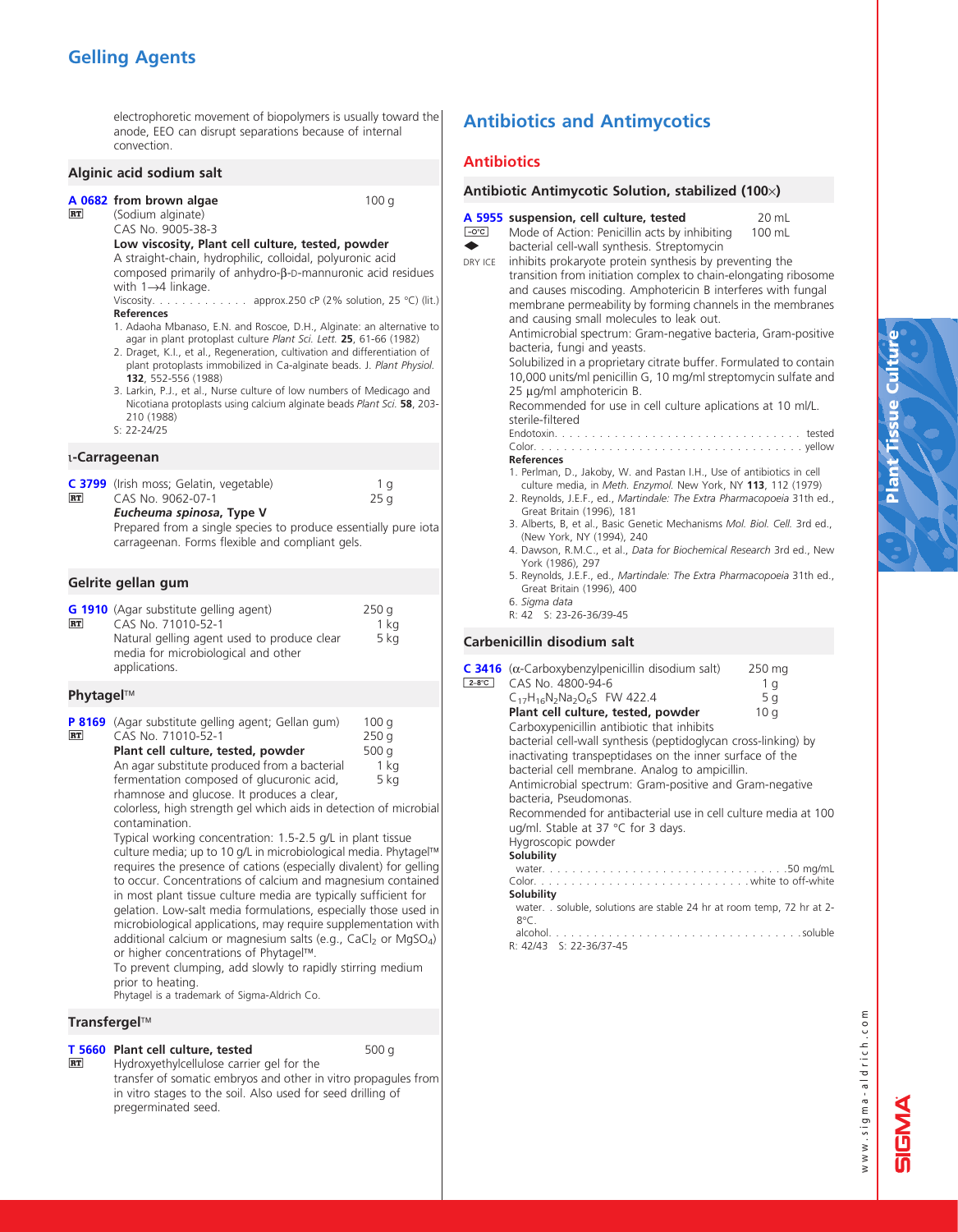# Gelling Agents

electrophoretic movement of biopolymers is usually toward the anode, EEO can disrupt separations because of internal convection.

|           | Alginic acid sodium salt                                                                                                                                                                                                                                                                                                                                                                                                                                                                                                                                                                                                                                                                                                                                                                                                                                                            |                                        |  |
|-----------|-------------------------------------------------------------------------------------------------------------------------------------------------------------------------------------------------------------------------------------------------------------------------------------------------------------------------------------------------------------------------------------------------------------------------------------------------------------------------------------------------------------------------------------------------------------------------------------------------------------------------------------------------------------------------------------------------------------------------------------------------------------------------------------------------------------------------------------------------------------------------------------|----------------------------------------|--|
| <b>RT</b> | A 0682 from brown algae<br>(Sodium alginate)<br>CAS No. 9005-38-3<br>Low viscosity, Plant cell culture, tested, powder<br>A straight-chain, hydrophilic, colloidal, polyuronic acid<br>composed primarily of anhydro-β-D-mannuronic acid residues<br>with $1\rightarrow 4$ linkage.<br>approx.250 cP (2% solution, 25 °C) (lit.)<br>Viscosity.<br><b>References</b><br>1. Adaoha Mbanaso, E.N. and Roscoe, D.H., Alginate: an alternative to<br>agar in plant protoplast culture Plant Sci. Lett. 25, 61-66 (1982)<br>2. Draget, K.I., et al., Regeneration, cultivation and differentiation of<br>plant protoplasts immobilized in Ca-alginate beads. J. Plant Physiol.<br>132, 552-556 (1988)<br>3. Larkin, P.J., et al., Nurse culture of low numbers of Medicago and<br>Nicotiana protoplasts using calcium alginate beads Plant Sci. 58, 203-<br>210 (1988)<br>$S: 22 - 24/25$ | 100q                                   |  |
|           | ็น <b>-Carrageenan</b>                                                                                                                                                                                                                                                                                                                                                                                                                                                                                                                                                                                                                                                                                                                                                                                                                                                              |                                        |  |
| RT        | C 3799 (Irish moss; Gelatin, vegetable)<br>CAS No. 9062-07-1<br>Eucheuma spinosa, Type V<br>Prepared from a single species to produce essentially pure iota<br>carrageenan. Forms flexible and compliant gels.                                                                                                                                                                                                                                                                                                                                                                                                                                                                                                                                                                                                                                                                      | 1 g<br>25 g                            |  |
|           | Gelrite gellan gum                                                                                                                                                                                                                                                                                                                                                                                                                                                                                                                                                                                                                                                                                                                                                                                                                                                                  |                                        |  |
| RT        | G 1910 (Agar substitute gelling agent)<br>CAS No. 71010-52-1<br>Natural gelling agent used to produce clear<br>media for microbiological and other<br>applications.                                                                                                                                                                                                                                                                                                                                                                                                                                                                                                                                                                                                                                                                                                                 | 250 g<br>1 kg<br>5 kg                  |  |
| Phytagel™ |                                                                                                                                                                                                                                                                                                                                                                                                                                                                                                                                                                                                                                                                                                                                                                                                                                                                                     |                                        |  |
| RT        | P 8169 (Agar substitute gelling agent; Gellan gum)<br>CAS No. 71010-52-1<br>Plant cell culture, tested, powder<br>An agar substitute produced from a bacterial<br>fermentation composed of glucuronic acid,<br>rhamnose and glucose. It produces a clear,<br>colorless, high strength gel which aids in detection of microbial<br>contamination.<br>Typical working concentration: 1.5-2.5 g/L in plant tissue<br>culture media: un to 10 g/l, in microbiological media, PhytagelIM                                                                                                                                                                                                                                                                                                                                                                                                 | 100q<br>250 g<br>500 g<br>1 kg<br>5 kg |  |

culture media; up to 10 g/L in microbiological media. Phytagel requires the presence of cations (especially divalent) for gelling to occur. Concentrations of calcium and magnesium contained in most plant tissue culture media are typically sufficient for gelation. Low-salt media formulations, especially those used in microbiological applications, may require supplementation with additional calcium or magnesium salts (e.g., CaCl<sub>2</sub> or MgSO<sub>4</sub>) or higher concentrations of Phytagel™.

To prevent clumping, add slowly to rapidly stirring medium prior to heating.

Phytagel is a trademark of Sigma-Aldrich Co.

## Transfergel

#### **[T 5660](http://www.sigma-aldrich.com/ProductLookup.html?ProdNo=T5660&Brand=SIGMA) Plant cell culture, tested** 600 g  $RT$

Hydroxyethylcellulose carrier gel for the transfer of somatic embryos and other in vitro propagules from in vitro stages to the soil. Also used for seed drilling of pregerminated seed.

# Antibiotics and Antimycotics

## **Antibiotics**

### Antibiotic Antimycotic Solution, stabilized (100x)

| $\overline{-0^{\circ}C}$<br>DRY ICE | A 5955 suspension, cell culture, tested<br>20 mL<br>Mode of Action: Penicillin acts by inhibiting<br>100 mL<br>bacterial cell-wall synthesis. Streptomycin<br>inhibits prokaryote protein synthesis by preventing the<br>transition from initiation complex to chain-elongating ribosome<br>and causes miscoding. Amphotericin B interferes with fungal<br>membrane permeability by forming channels in the membranes<br>and causing small molecules to leak out.<br>Antimicrobial spectrum: Gram-negative bacteria, Gram-positive<br>bacteria, fungi and yeasts.<br>Solubilized in a proprietary citrate buffer. Formulated to contain<br>10,000 units/ml penicillin G, 10 mg/ml streptomycin sulfate and<br>25 µg/ml amphotericin B.<br>Recommended for use in cell culture aplications at 10 ml/L.<br>sterile-filtered<br>Endotoxin. $\ldots$ .<br>tested<br><b>References</b><br>1. Perlman, D., Jakoby, W. and Pastan I.H., Use of antibiotics in cell<br>culture media, in Meth. Enzymol. New York, NY 113, 112 (1979)<br>2. Reynolds, J.E.F., ed., Martindale: The Extra Pharmacopoeia 31th ed.,<br>Great Britain (1996), 181<br>3. Alberts, B, et al., Basic Genetic Mechanisms Mol. Biol. Cell. 3rd ed.,<br>(New York, NY (1994), 240<br>4. Dawson, R.M.C., et al., Data for Biochemical Research 3rd ed., New<br>York (1986), 297<br>5. Reynolds, J.E.F., ed., Martindale: The Extra Pharmacopoeia 31th ed.,<br>Great Britain (1996), 400<br>6. Sigma data<br>R: 42 S: 23-26-36/39-45 |
|-------------------------------------|-------------------------------------------------------------------------------------------------------------------------------------------------------------------------------------------------------------------------------------------------------------------------------------------------------------------------------------------------------------------------------------------------------------------------------------------------------------------------------------------------------------------------------------------------------------------------------------------------------------------------------------------------------------------------------------------------------------------------------------------------------------------------------------------------------------------------------------------------------------------------------------------------------------------------------------------------------------------------------------------------------------------------------------------------------------------------------------------------------------------------------------------------------------------------------------------------------------------------------------------------------------------------------------------------------------------------------------------------------------------------------------------------------------------------------------------------------------------------------------------------|
|                                     | Carbenicillin disodium salt                                                                                                                                                                                                                                                                                                                                                                                                                                                                                                                                                                                                                                                                                                                                                                                                                                                                                                                                                                                                                                                                                                                                                                                                                                                                                                                                                                                                                                                                     |
| $2-8$ °C                            | $C$ 3416 ( $\alpha$ -Carboxybenzylpenicillin disodium salt)<br>250 mg<br>CAS No. 4800-94-6<br>1 g<br>$C_{17}H_{16}N_2Na_2O_6S$ FW 422.4<br>5q<br>Plant cell culture, tested, powder<br>10 g<br>Carboxypenicillin antibiotic that inhibits<br>bacterial cell-wall synthesis (peptidoglycan cross-linking) by<br>inactivating transpeptidases on the inner surface of the<br>bacterial cell membrane. Analog to ampicillin.<br>Antimicrobial spectrum: Gram-positive and Gram-negative<br>bacteria, Pseudomonas.<br>Recommended for antibacterial use in cell culture media at 100<br>ug/ml. Stable at 37 °C for 3 days.<br>Hygroscopic powder<br>Solubility<br>water.<br>white to off-white<br>$Color. \ldots$ .<br>Solubility<br>water. . soluble, solutions are stable 24 hr at room temp, 72 hr at 2-<br>ୱଂ⊂                                                                                                                                                                                                                                                                                                                                                                                                                                                                                                                                                                                                                                                                                  |

alcohol. . soluble R: 42/43 S: 22-36/37-45

www.sigma-aldrich.com www.sigma-aldrich.com

d<br>D<br>D

ក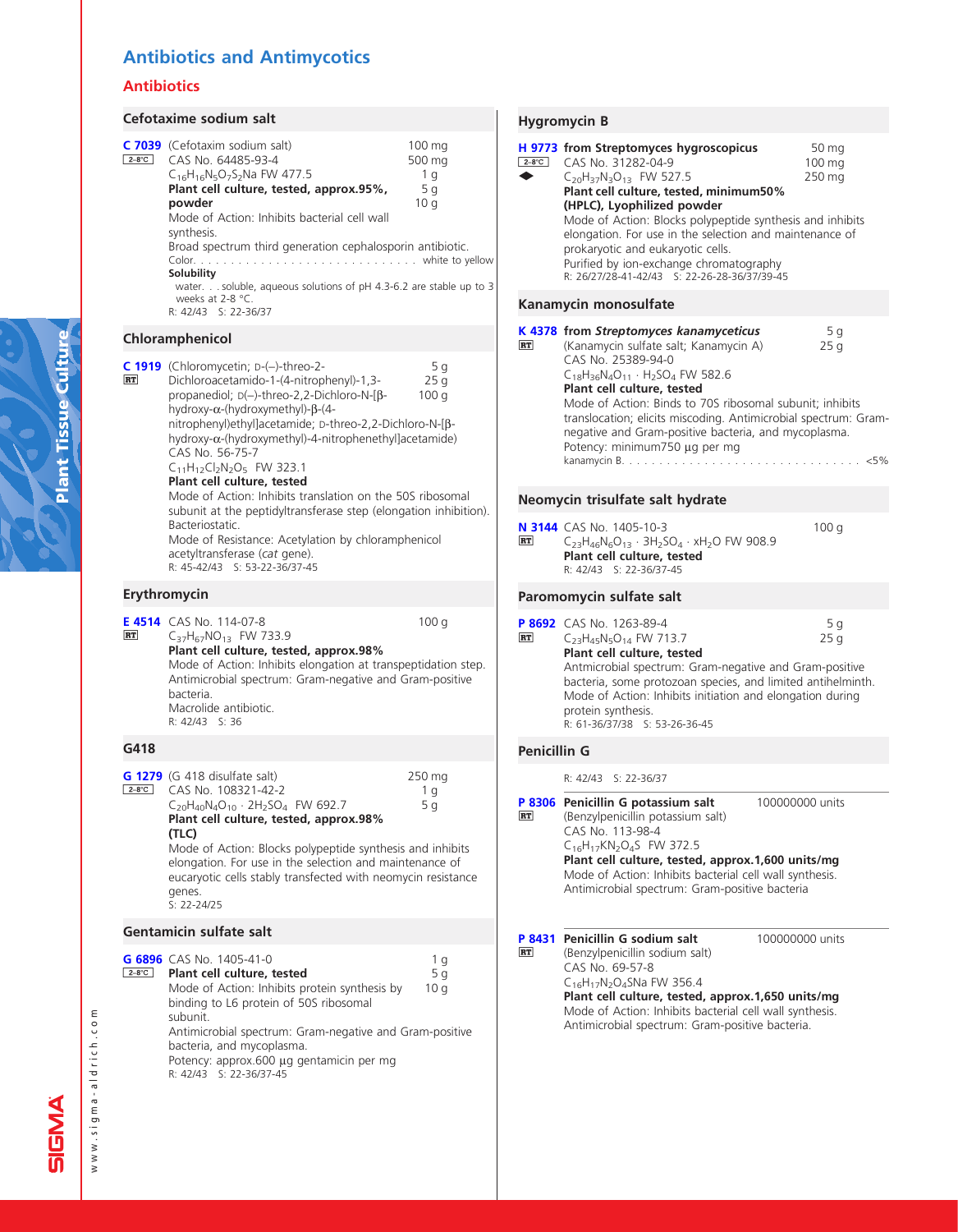# Antibiotics and Antimycotics

## Antibiotics

#### Cefotaxime sodium salt 100 mg 500 mg 1 g 5 g 10 g [C 7039](http://www.sigma-aldrich.com/ProductLookup.html?ProdNo=C7039&Brand=SIGMA) (Cefotaxim sodium salt) 2-8°C CAS No. 64485-93-4 C16H16N5O7S2Na FW 477.5 Plant cell culture, tested, approx.95%, powder Mode of Action: Inhibits bacterial cell wall synthesis. Broad spectrum third generation cephalosporin antibiotic. Color. . . . . . . . . . . . . . . . . . . . . . . . . . . . . . white to yellow Solubility water. . . soluble, aqueous solutions of pH 4.3-6.2 are stable up to 3 weeks at 2-8  $^{\circ}$ C. R: 42/43 S: 22-36/37 Chloramphenicol 5 g  $25\bar{g}$ 100 g [C 1919](http://www.sigma-aldrich.com/ProductLookup.html?ProdNo=C1919&Brand=SIGMA) (Chloromycetin; D-(-)-threo-2-<br>
RT Dichloroacetamido-1-(4-nitron **RT** Dichloroacetamido-1-(4-nitrophenyl)-1,3 propanediol; D(-)-threo-2,2-Dichloro-N-[bhydroxy-α-(hydroxymethyl)-β-(4nitrophenyl)ethyl]acetamide; D-threo-2,2-Dichloro-N-[bhydroxy-a-(hydroxymethyl)-4-nitrophenethyl]acetamide) CAS No. 56-75-7  $C_{11}H_{12}Cl_2N_2O_5$  FW 323.1 Plant cell culture, tested Mode of Action: Inhibits translation on the 50S ribosomal subunit at the peptidyltransferase step (elongation inhibition). Bacteriostatic. Mode of Resistance: Acetylation by chloramphenicol acetyltransferase (cat gene). R: 45-42/43 S: 53-22-36/37-45 Erythromycin **[E 4514](http://www.sigma-aldrich.com/ProductLookup.html?ProdNo=E4514&Brand=SIGMA)** CAS No. 114-07-8 100 g **RT** C37H67NO13 FW 733.9 Plant cell culture, tested, approx.98% Mode of Action: Inhibits elongation at transpeptidation step. Antimicrobial spectrum: Gram-negative and Gram-positive bacteria. Macrolide antibiotic. R: 42/43 S: 36 G418 250 mg 1 g 5 g **[G 1279](http://www.sigma-aldrich.com/ProductLookup.html?ProdNo=G1279&Brand=SIGMA)** (G 418 disulfate salt) 2-8°C CAS No. 108321-42-2  $C_{20}H_{40}N_{4}O_{10} \cdot 2H_{2}SO_{4}$  FW 692.7 Plant cell culture, tested, approx.98% (TLC) Mode of Action: Blocks polypeptide synthesis and inhibits elongation. For use in the selection and maintenance of eucaryotic cells stably transfected with neomycin resistance genes. S: 22-24/25 Gentamicin sulfate salt 1 g 5 g 10 g [G 6896](http://www.sigma-aldrich.com/ProductLookup.html?ProdNo=G6896&Brand=SIGMA) CAS No. 1405-41-0 **E-8°C** Plant cell culture, tested Mode of Action: Inhibits protein synthesis by binding to L6 protein of 50S ribosomal subunit. Antimicrobial spectrum: Gram-negative and Gram-positive bacteria, and mycoplasma.

Potency: approx.600 µg gentamicin per mg R: 42/43 S: 22-36/37-45

## Hygromycin B

|                      | nygromycm o                                                                                                                                                                                                                                                                                                                                                                                                                                                                                                    |              |
|----------------------|----------------------------------------------------------------------------------------------------------------------------------------------------------------------------------------------------------------------------------------------------------------------------------------------------------------------------------------------------------------------------------------------------------------------------------------------------------------------------------------------------------------|--------------|
| $2-8^{\circ}$ C<br>∙ | H 9773 from Streptomyces hygroscopicus<br>50 mg<br>CAS No. 31282-04-9<br>$100 \text{ mg}$<br>C <sub>20</sub> H <sub>37</sub> N <sub>3</sub> O <sub>13</sub> FW 527.5<br>250 mg<br>Plant cell culture, tested, minimum50%<br>(HPLC), Lyophilized powder<br>Mode of Action: Blocks polypeptide synthesis and inhibits<br>elongation. For use in the selection and maintenance of<br>prokaryotic and eukaryotic cells.<br>Purified by ion-exchange chromatography<br>R: 26/27/28-41-42/43 S: 22-26-28-36/37/39-45 |              |
|                      | Kanamycin monosulfate                                                                                                                                                                                                                                                                                                                                                                                                                                                                                          |              |
| <b>RT</b>            | K 4378 from Streptomyces kanamyceticus<br>5 g<br>(Kanamycin sulfate salt; Kanamycin A)<br>25q<br>CAS No. 25389-94-0<br>$C_{18}H_{36}N_4O_{11}$ · H <sub>2</sub> SO <sub>4</sub> FW 582.6<br>Plant cell culture, tested<br>Mode of Action: Binds to 70S ribosomal subunit; inhibits<br>translocation; elicits miscoding. Antimicrobial spectrum: Gram-<br>negative and Gram-positive bacteria, and mycoplasma.<br>Potency: minimum750 µg per mg<br>kanamycin B.                                                 | $\ldots$ <5% |
|                      | Neomycin trisulfate salt hydrate                                                                                                                                                                                                                                                                                                                                                                                                                                                                               |              |
| <b>RT</b>            | N 3144 CAS No. 1405-10-3<br>100q<br>$C_{23}H_{46}N_6O_{13} \cdot 3H_2SO_4 \cdot xH_2O$ FW 908.9<br>Plant cell culture, tested<br>R: 42/43 S: 22-36/37-45                                                                                                                                                                                                                                                                                                                                                       |              |
|                      | Paromomycin sulfate salt                                                                                                                                                                                                                                                                                                                                                                                                                                                                                       |              |
| <b>RT</b>            | P 8692 CAS No. 1263-89-4<br>5q<br>C <sub>23</sub> H <sub>45</sub> N <sub>5</sub> O <sub>14</sub> FW 713.7<br>25q<br>Plant cell culture, tested<br>Antmicrobial spectrum: Gram-negative and Gram-positive<br>bacteria, some protozoan species, and limited antihelminth.<br>Mode of Action: Inhibits initiation and elongation during<br>protein synthesis.<br>R: 61-36/37/38 S: 53-26-36-45                                                                                                                    |              |
| <b>Penicillin G</b>  |                                                                                                                                                                                                                                                                                                                                                                                                                                                                                                                |              |
|                      | R: 42/43 S: 22-36/37                                                                                                                                                                                                                                                                                                                                                                                                                                                                                           |              |
| <b>RT</b>            | P 8306 Penicillin G potassium salt<br>100000000 units<br>(Benzylpenicillin potassium salt)<br>CAS No. 113-98-4<br>C <sub>16</sub> H <sub>17</sub> KN <sub>2</sub> O <sub>4</sub> S FW 372.5<br>Plant cell culture, tested, approx.1,600 units/mg<br>Mode of Action: Inhibits bacterial cell wall synthesis.<br>Antimicrobial spectrum: Gram-positive bacteria                                                                                                                                                  |              |
| <b>RT</b>            | P 8431 Penicillin G sodium salt<br>100000000 units<br>(Benzylpenicillin sodium salt)<br>CAS No. 69-57-8<br>C <sub>16</sub> H <sub>17</sub> N <sub>2</sub> O <sub>4</sub> SNa FW 356.4<br>Plant cell culture, tested, approx.1,650 units/mg<br>Mode of Action: Inhibits bacterial cell wall synthesis.<br>Antimicrobial spectrum: Gram-positive bacteria.                                                                                                                                                       |              |

www.sigma-aldrich.com

www.sigma-aldrich.com